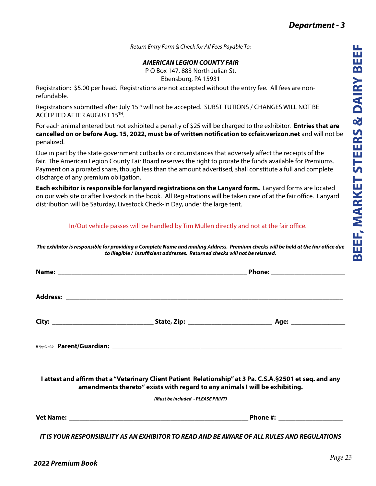*Return Entry Form & Check for All Fees Payable To:*

## *AMERICAN LEGION COUNTY FAIR*

P O Box 147, 883 North Julian St. Ebensburg, PA 15931

Registration: \$5.00 per head. Registrations are not accepted without the entry fee. All fees are nonrefundable.

Registrations submitted after July 15<sup>th</sup> will not be accepted. SUBSTITUTIONS / CHANGES WILL NOT BE ACCEPTED AFTER AUGUST 15TH.

For each animal entered but not exhibited a penalty of \$25 will be charged to the exhibitor. **Entries that are cancelled on or before Aug. 15, 2022, must be of written notification to ccfair.verizon.net** and will not be penalized.

Due in part by the state government cutbacks or circumstances that adversely affect the receipts of the fair. The American Legion County Fair Board reserves the right to prorate the funds available for Premiums. Payment on a prorated share, though less than the amount advertised, shall constitute a full and complete discharge of any premium obligation.

**Each exhibitor is responsible for lanyard registrations on the Lanyard form.** Lanyard forms are located on our web site or after livestock in the book. All Registrations will be taken care of at the fair office. Lanyard distribution will be Saturday, Livestock Check-in Day, under the large tent.

## In/Out vehicle passes will be handled by Tim Mullen directly and not at the fair office.

*The exhibitor is responsible for providing a Complete Name and mailing Address. Premium checks will be held at the fair office due to illegible / insufficient addresses. Returned checks will not be reissued.*

| I attest and affirm that a "Veterinary Client Patient Relationship" at 3 Pa. C.S.A.§2501 et seq. and any<br>amendments thereto" exists with regard to any animals I will be exhibiting. |                              |  |  |
|-----------------------------------------------------------------------------------------------------------------------------------------------------------------------------------------|------------------------------|--|--|
| (Must be included - PLEASE PRINT)                                                                                                                                                       |                              |  |  |
|                                                                                                                                                                                         | Phone #: ___________________ |  |  |
| IT IS VOLID DESDOLISION ITV AS AN EVULDITOD TO DEAD, AND DE ANIADE OF ALL DULES AND DESIGN ATIONS                                                                                       |                              |  |  |

*IT IS YOUR RESPONSIBILITY AS AN EXHIBITOR TO READ AND BE AWARE OF ALL RULES AND REGULATIONS*